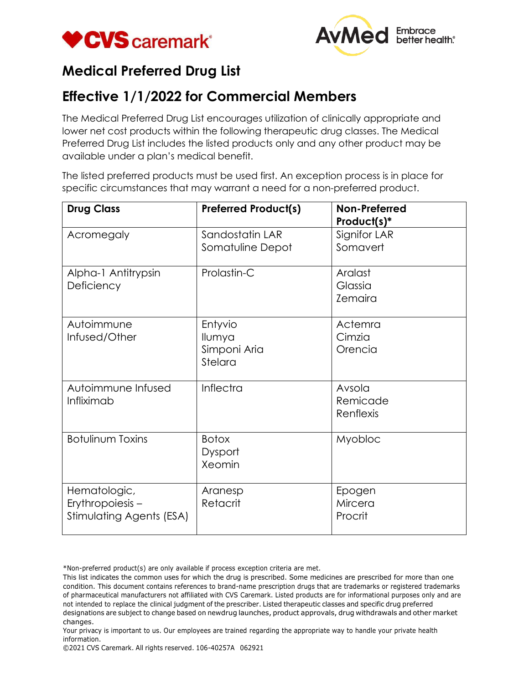



## **Medical Preferred Drug List**

## **Effective 1/1/2022 for Commercial Members**

The Medical Preferred Drug List encourages utilization of clinically appropriate and lower net cost products within the following therapeutic drug classes. The Medical Preferred Drug List includes the listed products only and any other product may be available under a plan's medical benefit.

The listed preferred products must be used first. An exception process is in place for specific circumstances that may warrant a need for a non-preferred product.

| <b>Drug Class</b>                                           | <b>Preferred Product(s)</b>                  | Non-Preferred<br>Product(s)*         |
|-------------------------------------------------------------|----------------------------------------------|--------------------------------------|
| Acromegaly                                                  | Sandostatin LAR<br>Somatuline Depot          | Signifor LAR<br>Somavert             |
| Alpha-1 Antitrypsin<br>Deficiency                           | Prolastin-C                                  | Aralast<br>Glassia<br><b>Zemaira</b> |
| Autoimmune<br>Infused/Other                                 | Entyvio<br>Ilumya<br>Simponi Aria<br>Stelara | Actemra<br>Cimzia<br>Orencia         |
| Autoimmune Infused<br>Infliximab                            | Inflectra                                    | Avsola<br>Remicade<br>Renflexis      |
| <b>Botulinum Toxins</b>                                     | <b>Botox</b><br>Dysport<br>Xeomin            | Myobloc                              |
| Hematologic,<br>Erythropoiesis-<br>Stimulating Agents (ESA) | Aranesp<br>Retacrit                          | Epogen<br>Mircera<br>Procrit         |

\*Non-preferred product(s) are only available if process exception criteria are met.

This list indicates the common uses for which the drug is prescribed. Some medicines are prescribed for more than one condition. This document contains references to brand-name prescription drugs that are trademarks or registered trademarks of pharmaceutical manufacturers not affiliated with CVS Caremark. Listed products are for informational purposes only and are not intended to replace the clinical judgment of the prescriber. Listed therapeutic classes and specific drug preferred designations are subject to change based on newdrug launches, product approvals, drug withdrawals and other market changes.

Your privacy is important to us. Our employees are trained regarding the appropriate way to handle your private health information.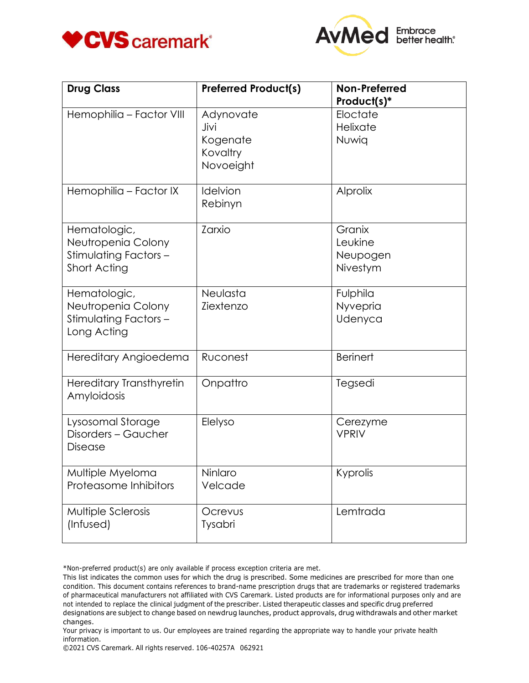



| <b>Drug Class</b>                                                          | <b>Preferred Product(s)</b>                            | <b>Non-Preferred</b><br>Product(s)*       |
|----------------------------------------------------------------------------|--------------------------------------------------------|-------------------------------------------|
| Hemophilia - Factor VIII                                                   | Adynovate<br>Jivi<br>Kogenate<br>Kovaltry<br>Novoeight | Eloctate<br>Helixate<br>Nuwig             |
| Hemophilia - Factor IX                                                     | Idelvion<br>Rebinyn                                    | Alprolix                                  |
| Hematologic,<br>Neutropenia Colony<br>Stimulating Factors-<br>Short Acting | Zarxio                                                 | Granix<br>Leukine<br>Neupogen<br>Nivestym |
| Hematologic,<br>Neutropenia Colony<br>Stimulating Factors-<br>Long Acting  | Neulasta<br>Ziextenzo                                  | Fulphila<br>Nyvepria<br>Udenyca           |
| Hereditary Angioedema                                                      | Ruconest                                               | <b>Berinert</b>                           |
| <b>Hereditary Transthyretin</b><br>Amyloidosis                             | Onpattro                                               | Tegsedi                                   |
| Lysosomal Storage<br>Disorders - Gaucher<br>Disease                        | Elelyso                                                | Cerezyme<br><b>VPRIV</b>                  |
| Multiple Myeloma<br>Proteasome Inhibitors                                  | Ninlaro<br>Velcade                                     | Kyprolis                                  |
| Multiple Sclerosis<br>(Infused)                                            | Ocrevus<br>Tysabri                                     | Lemtrada                                  |

\*Non-preferred product(s) are only available if process exception criteria are met.

This list indicates the common uses for which the drug is prescribed. Some medicines are prescribed for more than one condition. This document contains references to brand-name prescription drugs that are trademarks or registered trademarks of pharmaceutical manufacturers not affiliated with CVS Caremark. Listed products are for informational purposes only and are not intended to replace the clinical judgment of the prescriber. Listed therapeutic classes and specific drug preferred designations are subject to change based on newdrug launches, product approvals, drug withdrawals and other market changes.

Your privacy is important to us. Our employees are trained regarding the appropriate way to handle your private health information.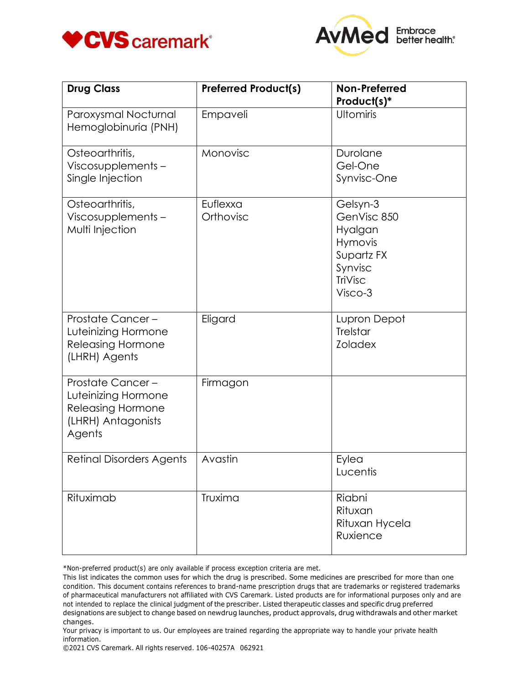



| <b>Drug Class</b>                                                                                          | <b>Preferred Product(s)</b> | <b>Non-Preferred</b><br>Product(s)*                                                          |
|------------------------------------------------------------------------------------------------------------|-----------------------------|----------------------------------------------------------------------------------------------|
| Paroxysmal Nocturnal<br>Hemoglobinuria (PNH)                                                               | Empaveli                    | Ultomiris                                                                                    |
| Osteoarthritis,<br>Viscosupplements-<br>Single Injection                                                   | Monovisc                    | Durolane<br>Gel-One<br>Synvisc-One                                                           |
| Osteoarthritis,<br>Viscosupplements-<br>Multi Injection                                                    | Euflexxa<br>Orthovisc       | Gelsyn-3<br>GenVisc 850<br>Hyalgan<br>Hymovis<br>Supartz FX<br>Synvisc<br>TriVisc<br>Visco-3 |
| Prostate Cancer-<br>Luteinizing Hormone<br><b>Releasing Hormone</b><br>(LHRH) Agents                       | Eligard                     | Lupron Depot<br><b>Trelstar</b><br><b>Zoladex</b>                                            |
| <b>Prostate Cancer-</b><br>Luteinizing Hormone<br><b>Releasing Hormone</b><br>(LHRH) Antagonists<br>Agents | Firmagon                    |                                                                                              |
| <b>Retinal Disorders Agents</b>                                                                            | Avastin                     | Eylea<br>Lucentis                                                                            |
| Rituximab                                                                                                  | Truxima                     | Riabni<br>Rituxan<br>Rituxan Hycela<br>Ruxience                                              |

\*Non-preferred product(s) are only available if process exception criteria are met.

Your privacy is important to us. Our employees are trained regarding the appropriate way to handle your private health information.

©2021 CVS Caremark. All rights reserved. 106-40257A 062921

This list indicates the common uses for which the drug is prescribed. Some medicines are prescribed for more than one condition. This document contains references to brand-name prescription drugs that are trademarks or registered trademarks of pharmaceutical manufacturers not affiliated with CVS Caremark. Listed products are for informational purposes only and are not intended to replace the clinical judgment of the prescriber. Listed therapeutic classes and specific drug preferred designations are subject to change based on newdrug launches, product approvals, drug withdrawals and other market changes.